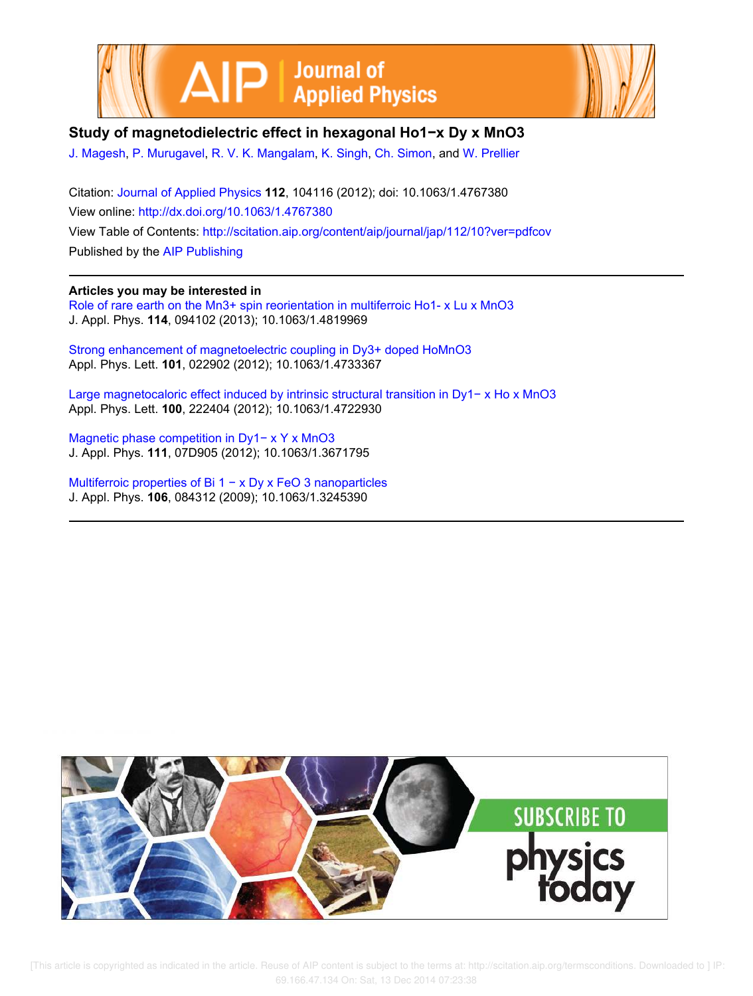



## **Study of magnetodielectric effect in hexagonal Ho1−x Dy x MnO3**

J. Magesh, P. Murugavel, R. V. K. Mangalam, K. Singh, Ch. Simon, and W. Prellier

Citation: Journal of Applied Physics **112**, 104116 (2012); doi: 10.1063/1.4767380 View online: http://dx.doi.org/10.1063/1.4767380 View Table of Contents: http://scitation.aip.org/content/aip/journal/jap/112/10?ver=pdfcov Published by the AIP Publishing

## **Articles you may be interested in**

Role of rare earth on the Mn3+ spin reorientation in multiferroic Ho1- x Lu x MnO3 J. Appl. Phys. **114**, 094102 (2013); 10.1063/1.4819969

Strong enhancement of magnetoelectric coupling in Dy3+ doped HoMnO3 Appl. Phys. Lett. **101**, 022902 (2012); 10.1063/1.4733367

Large magnetocaloric effect induced by intrinsic structural transition in Dy1− x Ho x MnO3 Appl. Phys. Lett. **100**, 222404 (2012); 10.1063/1.4722930

Magnetic phase competition in Dy1− x Y x MnO3 J. Appl. Phys. **111**, 07D905 (2012); 10.1063/1.3671795

Multiferroic properties of Bi 1 − x Dy x FeO 3 nanoparticles J. Appl. Phys. **106**, 084312 (2009); 10.1063/1.3245390



 [This article is copyrighted as indicated in the article. Reuse of AIP content is subject to the terms at: http://scitation.aip.org/termsconditions. Downloaded to ] IP: 69.166.47.134 On: Sat, 13 Dec 2014 07:23:38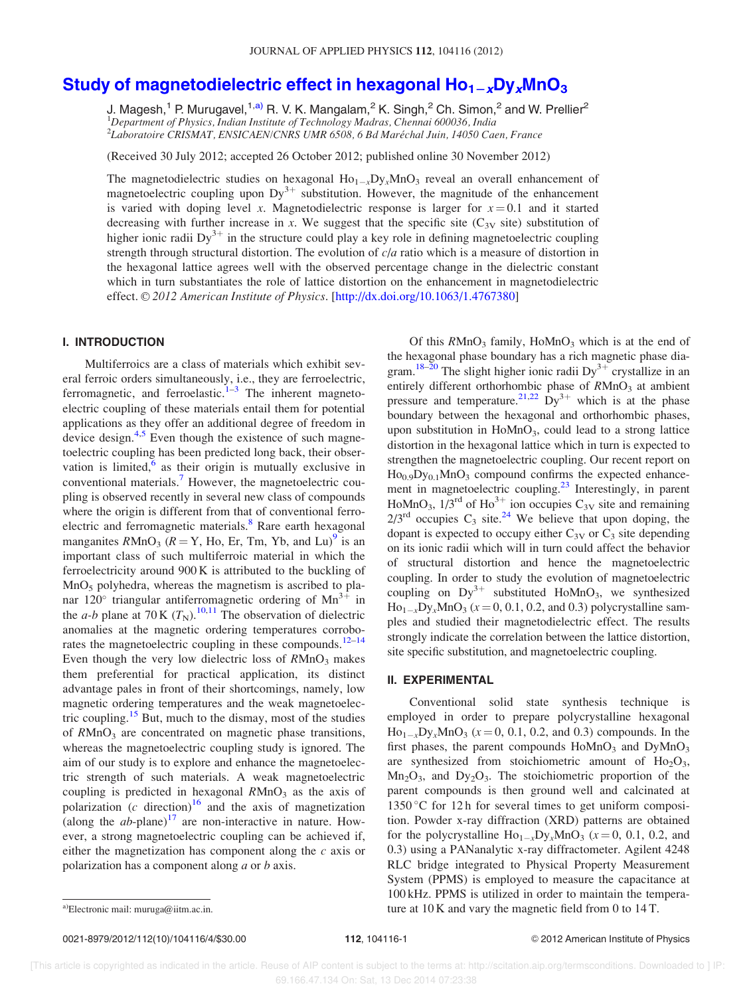# Study of magnetodielectric effect in hexagonal  $Ho_{1-x}Dy_xMnO_3$

J. Magesh,<sup>1</sup> P. Murugavel,<sup>1,a)</sup> R. V. K. Mangalam,<sup>2</sup> K. Singh,<sup>2</sup> Ch. Simon,<sup>2</sup> and W. Prellier<sup>2</sup> <sup>1</sup>Department of Physics, Indian Institute of Technology Madras, Chennai 600036, India 2 Laboratoire CRISMAT, ENSICAEN/CNRS UMR 6508, 6 Bd Marechal Juin, 14050 Caen, France -

(Received 30 July 2012; accepted 26 October 2012; published online 30 November 2012)

The magnetodielectric studies on hexagonal  $Ho_{1-x}Dy_xMnO_3$  reveal an overall enhancement of magnetoelectric coupling upon  $Dy^{3+}$  substitution. However, the magnitude of the enhancement is varied with doping level x. Magnetodielectric response is larger for  $x = 0.1$  and it started decreasing with further increase in x. We suggest that the specific site ( $C_{3V}$  site) substitution of higher ionic radii  $Dy^{3+}$  in the structure could play a key role in defining magnetoelectric coupling strength through structural distortion. The evolution of  $c/a$  ratio which is a measure of distortion in the hexagonal lattice agrees well with the observed percentage change in the dielectric constant which in turn substantiates the role of lattice distortion on the enhancement in magnetodielectric effect. © 2012 American Institute of Physics. [http://dx.doi.org/10.1063/1.4767380]

## I. INTRODUCTION

Multiferroics are a class of materials which exhibit several ferroic orders simultaneously, i.e., they are ferroelectric, ferromagnetic, and ferroelastic. $1-3$  The inherent magnetoelectric coupling of these materials entail them for potential applications as they offer an additional degree of freedom in device design.<sup>4,5</sup> Even though the existence of such magnetoelectric coupling has been predicted long back, their observation is limited, $6$  as their origin is mutually exclusive in conventional materials.<sup>7</sup> However, the magnetoelectric coupling is observed recently in several new class of compounds where the origin is different from that of conventional ferroelectric and ferromagnetic materials.<sup>8</sup> Rare earth hexagonal manganites  $RMnO_3$  ( $R = Y$ , Ho, Er, Tm, Yb, and Lu)<sup>9</sup> is an important class of such multiferroic material in which the ferroelectricity around 900 K is attributed to the buckling of  $MnO<sub>5</sub>$  polyhedra, whereas the magnetism is ascribed to planar 120° triangular antiferromagnetic ordering of  $Mn^{3+}$  in the *a-b* plane at 70 K  $(T_N)$ .<sup>10,11</sup> The observation of dielectric anomalies at the magnetic ordering temperatures corroborates the magnetoelectric coupling in these compounds.<sup>12–14</sup> Even though the very low dielectric loss of  $R M nO<sub>3</sub>$  makes them preferential for practical application, its distinct advantage pales in front of their shortcomings, namely, low magnetic ordering temperatures and the weak magnetoelectric coupling.<sup>15</sup> But, much to the dismay, most of the studies of  $R M n O<sub>3</sub>$  are concentrated on magnetic phase transitions, whereas the magnetoelectric coupling study is ignored. The aim of our study is to explore and enhance the magnetoelectric strength of such materials. A weak magnetoelectric coupling is predicted in hexagonal  $R M n O<sub>3</sub>$  as the axis of polarization  $(c \text{ direction})^{16}$  and the axis of magnetization (along the  $ab$ -plane)<sup>17</sup> are non-interactive in nature. However, a strong magnetoelectric coupling can be achieved if, either the magnetization has component along the  $c$  axis or polarization has a component along a or b axis.

Of this  $RMnO<sub>3</sub>$  family,  $HoMnO<sub>3</sub>$  which is at the end of the hexagonal phase boundary has a rich magnetic phase diagram.<sup>18-20</sup> The slight higher ionic radii  $Dy^{3+}$  crystallize in an entirely different orthorhombic phase of RMnO<sub>3</sub> at ambient pressure and temperature.<sup>21,22</sup> Dy<sup>3+</sup> which is at the phase boundary between the hexagonal and orthorhombic phases, upon substitution in HoMnO<sub>3</sub>, could lead to a strong lattice distortion in the hexagonal lattice which in turn is expected to strengthen the magnetoelectric coupling. Our recent report on  $Ho<sub>0.9</sub>Dy<sub>0.1</sub>MnO<sub>3</sub>$  compound confirms the expected enhancement in magnetoelectric coupling.<sup>23</sup> Interestingly, in parent HoMnO<sub>3</sub>,  $1/3^{\text{rd}}$  of Ho<sup>3+</sup> ion occupies C<sub>3V</sub> site and remaining  $2/3^{rd}$  occupies C<sub>3</sub> site.<sup>24</sup> We believe that upon doping, the dopant is expected to occupy either  $C_{3V}$  or  $C_3$  site depending on its ionic radii which will in turn could affect the behavior of structural distortion and hence the magnetoelectric coupling. In order to study the evolution of magnetoelectric coupling on  $Dy^{3+}$  substituted HoMnO<sub>3</sub>, we synthesized  $\text{Ho}_{1-x} \text{Dy}_x \text{MnO}_3$  ( $x = 0, 0.1, 0.2,$  and 0.3) polycrystalline samples and studied their magnetodielectric effect. The results strongly indicate the correlation between the lattice distortion, site specific substitution, and magnetoelectric coupling.

#### II. EXPERIMENTAL

Conventional solid state synthesis technique is employed in order to prepare polycrystalline hexagonal  $Ho_{1-x}Dy_xMnO_3$  ( $x = 0, 0.1, 0.2,$  and 0.3) compounds. In the first phases, the parent compounds  $H \circ MnO_3$  and  $DyMnO_3$ are synthesized from stoichiometric amount of  $Ho<sub>2</sub>O<sub>3</sub>$ ,  $Mn<sub>2</sub>O<sub>3</sub>$ , and  $Dy<sub>2</sub>O<sub>3</sub>$ . The stoichiometric proportion of the parent compounds is then ground well and calcinated at  $1350^{\circ}$ C for 12 h for several times to get uniform composition. Powder x-ray diffraction (XRD) patterns are obtained for the polycrystalline  $\text{Ho}_{1-x}\text{Dy}_x\text{MnO}_3$  ( $x = 0, 0.1, 0.2,$  and 0.3) using a PANanalytic x-ray diffractometer. Agilent 4248 RLC bridge integrated to Physical Property Measurement System (PPMS) is employed to measure the capacitance at 100 kHz. PPMS is utilized in order to maintain the temperaa)Electronic mail: muruga@iitm.ac.in.  $\qquad \qquad \text{ture at 10 K and vary the magnetic field from 0 to 14 T.}$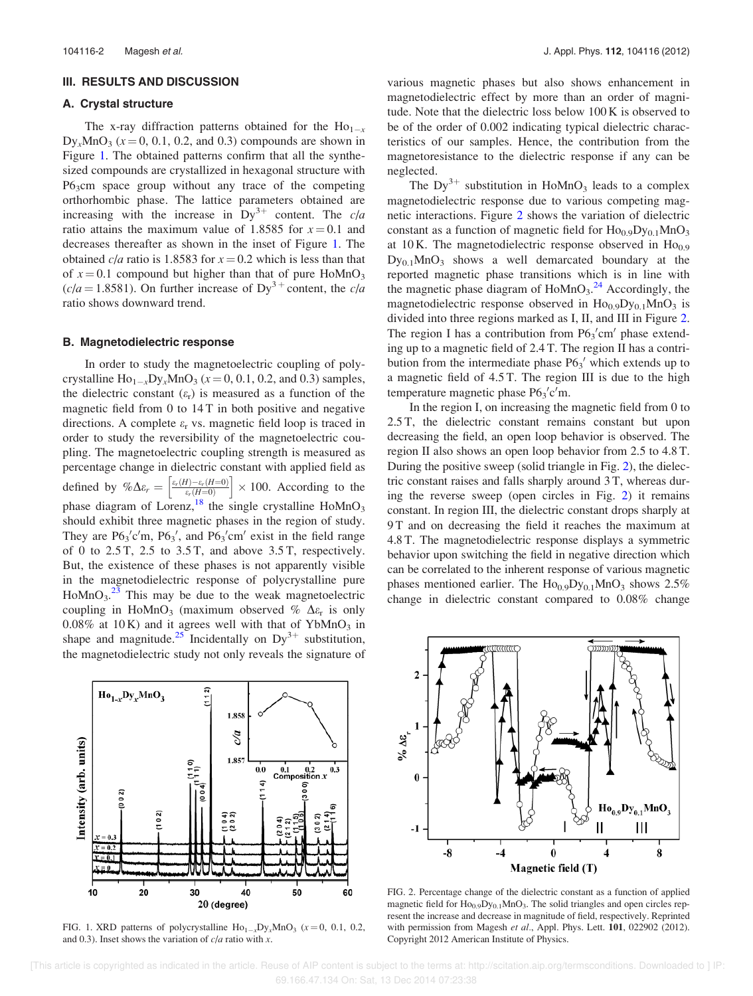#### III. RESULTS AND DISCUSSION

#### A. Crystal structure

The x-ray diffraction patterns obtained for the  $Ho_{1-x}$  $Dy_x MnO_3$  (x = 0, 0.1, 0.2, and 0.3) compounds are shown in Figure 1. The obtained patterns confirm that all the synthesized compounds are crystallized in hexagonal structure with P6<sub>3</sub>cm space group without any trace of the competing orthorhombic phase. The lattice parameters obtained are increasing with the increase in  $Dy^{3+}$  content. The c/a ratio attains the maximum value of 1.8585 for  $x = 0.1$  and decreases thereafter as shown in the inset of Figure 1. The obtained  $c/a$  ratio is 1.8583 for  $x = 0.2$  which is less than that of  $x = 0.1$  compound but higher than that of pure HoMnO<sub>3</sub>  $(c/a = 1.8581)$ . On further increase of Dy<sup>3+</sup> content, the c/a ratio shows downward trend.

#### B. Magnetodielectric response

In order to study the magnetoelectric coupling of polycrystalline  $\text{Ho}_{1-x}\text{Dy}_x\text{MnO}_3$  ( $x = 0, 0.1, 0.2,$  and 0.3) samples, the dielectric constant  $(\varepsilon_r)$  is measured as a function of the magnetic field from 0 to 14 T in both positive and negative directions. A complete  $\varepsilon_r$  vs. magnetic field loop is traced in order to study the reversibility of the magnetoelectric coupling. The magnetoelectric coupling strength is measured as percentage change in dielectric constant with applied field as defined by  $\% \Delta \varepsilon_r = \left[ \frac{\varepsilon_r(H) - \varepsilon_r(H=0)}{\varepsilon_r(H=0)} \right]$  $\left\lceil \frac{\varepsilon_r(H) - \varepsilon_r(H=0)}{\varepsilon_r(H=0)} \right\rceil \times 100$ . According to the phase diagram of Lorenz,<sup>18</sup> the single crystalline  $H_0MnO_3$ should exhibit three magnetic phases in the region of study. They are  $P6_3'c'm$ ,  $P6_3'$ , and  $P6_3'cm'$  exist in the field range of 0 to  $2.5$  T,  $2.5$  to  $3.5$  T, and above  $3.5$  T, respectively. But, the existence of these phases is not apparently visible in the magnetodielectric response of polycrystalline pure  $H \text{o} M \text{n} O_3$ <sup>23</sup> This may be due to the weak magnetoelectric coupling in HoMnO<sub>3</sub> (maximum observed %  $\Delta \varepsilon_r$  is only  $0.08\%$  at 10K) and it agrees well with that of YbMnO<sub>3</sub> in shape and magnitude.<sup>25</sup> Incidentally on  $Dy^{3+}$  substitution, the magnetodielectric study not only reveals the signature of



FIG. 1. XRD patterns of polycrystalline  $\text{Ho}_{1-x}\text{Dy}_x\text{MnO}_3$  ( $x=0$ , 0.1, 0.2, and 0.3). Inset shows the variation of  $c/a$  ratio with x.

various magnetic phases but also shows enhancement in magnetodielectric effect by more than an order of magnitude. Note that the dielectric loss below 100 K is observed to be of the order of 0.002 indicating typical dielectric characteristics of our samples. Hence, the contribution from the magnetoresistance to the dielectric response if any can be neglected.

The  $Dy^{3+}$  substitution in HoMnO<sub>3</sub> leads to a complex magnetodielectric response due to various competing magnetic interactions. Figure 2 shows the variation of dielectric constant as a function of magnetic field for  $Ho<sub>0.9</sub>Dy<sub>0.1</sub>MnO<sub>3</sub>$ at 10 K. The magnetodielectric response observed in  $Ho<sub>0.9</sub>$  $Dy_{0,1}MnO_3$  shows a well demarcated boundary at the reported magnetic phase transitions which is in line with the magnetic phase diagram of  $H\text{oMnO}_3$ .<sup>24</sup> Accordingly, the magnetodielectric response observed in  $Ho_{0.9}Dy_{0.1}MnO_3$  is divided into three regions marked as I, II, and III in Figure 2. The region I has a contribution from  $P6_3$ 'cm' phase extending up to a magnetic field of 2.4 T. The region II has a contribution from the intermediate phase  $P6<sub>3</sub>'$  which extends up to a magnetic field of 4.5 T. The region III is due to the high temperature magnetic phase  $P6_3'c'm$ .

In the region I, on increasing the magnetic field from 0 to 2.5 T, the dielectric constant remains constant but upon decreasing the field, an open loop behavior is observed. The region II also shows an open loop behavior from 2.5 to 4.8 T. During the positive sweep (solid triangle in Fig. 2), the dielectric constant raises and falls sharply around 3 T, whereas during the reverse sweep (open circles in Fig. 2) it remains constant. In region III, the dielectric constant drops sharply at 9 T and on decreasing the field it reaches the maximum at 4.8 T. The magnetodielectric response displays a symmetric behavior upon switching the field in negative direction which can be correlated to the inherent response of various magnetic phases mentioned earlier. The  $Ho<sub>0.9</sub>Dy<sub>0.1</sub>MnO<sub>3</sub>$  shows 2.5% change in dielectric constant compared to 0.08% change



FIG. 2. Percentage change of the dielectric constant as a function of applied magnetic field for Ho<sub>0.9</sub>Dy<sub>0.1</sub>MnO<sub>3</sub>. The solid triangles and open circles represent the increase and decrease in magnitude of field, respectively. Reprinted with permission from Magesh et al., Appl. Phys. Lett. 101, 022902 (2012). Copyright 2012 American Institute of Physics.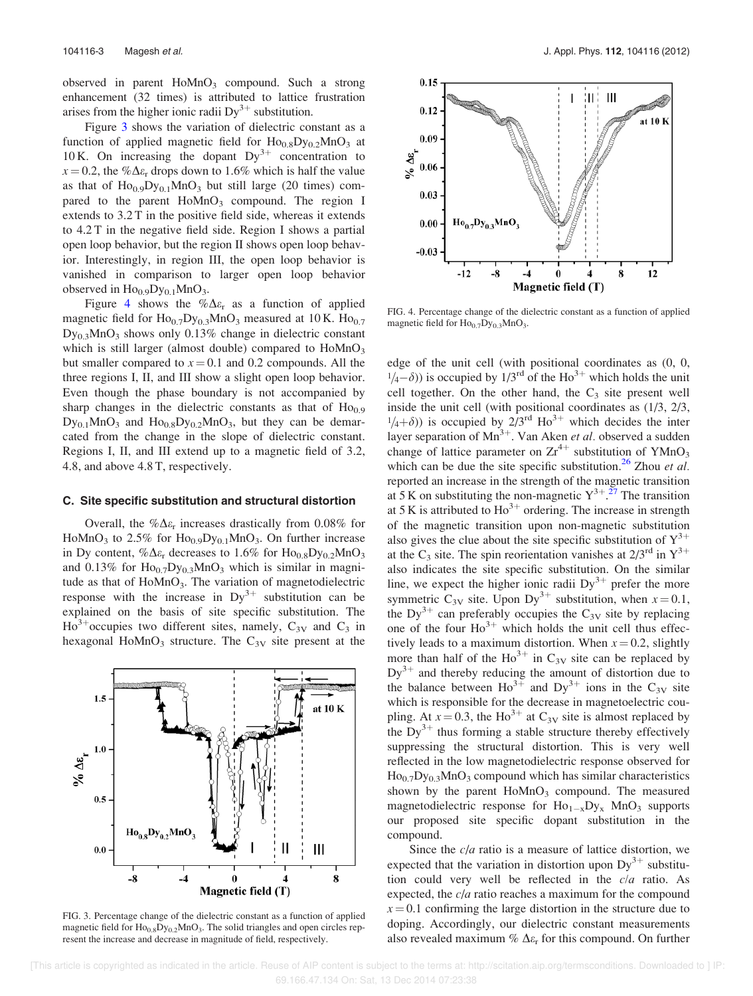observed in parent  $H \circ MnO_3$  compound. Such a strong enhancement (32 times) is attributed to lattice frustration arises from the higher ionic radii  $Dy^{3+}$  substitution.

Figure 3 shows the variation of dielectric constant as a function of applied magnetic field for  $\text{Ho}_{0.8}\text{Dy}_{0.2}\text{MnO}_3$  at 10 K. On increasing the dopant  $Dy^{3+}$  concentration to  $x = 0.2$ , the % $\Delta \varepsilon_r$  drops down to 1.6% which is half the value as that of  $Ho<sub>0.9</sub>Dy<sub>0.1</sub>MnO<sub>3</sub>$  but still large (20 times) compared to the parent  $H \circ MnO_3$  compound. The region I extends to 3.2 T in the positive field side, whereas it extends to 4.2 T in the negative field side. Region I shows a partial open loop behavior, but the region II shows open loop behavior. Interestingly, in region III, the open loop behavior is vanished in comparison to larger open loop behavior observed in  $Ho<sub>0.9</sub>Dy<sub>0.1</sub>MnO<sub>3</sub>$ .

Figure 4 shows the  $\% \Delta \varepsilon_r$  as a function of applied magnetic field for  $\text{Ho}_{0.7}\text{Dy}_{0.3}\text{MnO}_3$  measured at 10 K.  $\text{Ho}_{0.7}$ Dy0.3MnO<sup>3</sup> shows only 0.13% change in dielectric constant which is still larger (almost double) compared to  $H_0MnO_3$ but smaller compared to  $x = 0.1$  and 0.2 compounds. All the three regions I, II, and III show a slight open loop behavior. Even though the phase boundary is not accompanied by sharp changes in the dielectric constants as that of  $Ho<sub>0.9</sub>$  $Dy_{0.1}MnO_3$  and  $Ho_{0.8}Dy_{0.2}MnO_3$ , but they can be demarcated from the change in the slope of dielectric constant. Regions I, II, and III extend up to a magnetic field of 3.2, 4.8, and above 4.8 T, respectively.

#### C. Site specific substitution and structural distortion

Overall, the  $\% \Delta \varepsilon_r$  increases drastically from 0.08% for HoMnO<sub>3</sub> to 2.5% for  $\text{Ho}_{0.9} \text{Dy}_{0.1} \text{MnO}_3$ . On further increase in Dy content,  $\% \Delta \varepsilon_r$  decreases to 1.6% for Ho<sub>0.8</sub>Dy<sub>0.2</sub>MnO<sub>3</sub> and 0.13% for  $\text{Ho}_{0.7}\text{Dy}_{0.3}\text{MnO}_3$  which is similar in magnitude as that of  $Hom_{3}$ . The variation of magnetodielectric response with the increase in  $Dy^{3+}$  substitution can be explained on the basis of site specific substitution. The  $H_0^{3+}$  occupies two different sites, namely,  $C_{3V}$  and  $C_3$  in hexagonal HoMnO<sub>3</sub> structure. The  $C_{3V}$  site present at the



FIG. 3. Percentage change of the dielectric constant as a function of applied magnetic field for  $\text{Ho}_{0.8}\text{Dy}_{0.2}\text{MnO}_3$ . The solid triangles and open circles represent the increase and decrease in magnitude of field, respectively.



FIG. 4. Percentage change of the dielectric constant as a function of applied magnetic field for  $Ho_{0.7}Dy_{0.3}MnO_3$ .

edge of the unit cell (with positional coordinates as (0, 0,  $(1/4-\delta)$ ) is occupied by  $1/3^{rd}$  of the Ho<sup>3+</sup> which holds the unit cell together. On the other hand, the  $C_3$  site present well inside the unit cell (with positional coordinates as (1/3, 2/3,  $1/4+\delta$ )) is occupied by  $2/3$ <sup>rd</sup> Ho<sup>3+</sup> which decides the inter layer separation of  $Mn^{3+}$ . Van Aken et al. observed a sudden change of lattice parameter on  $Zr^{4+}$  substitution of YMnO<sub>3</sub> which can be due the site specific substitution.<sup>26</sup> Zhou *et al.* reported an increase in the strength of the magnetic transition at 5 K on substituting the non-magnetic  $Y^{3+}$ .<sup>27</sup> The transition at 5 K is attributed to  $\text{Ho}^{3+}$  ordering. The increase in strength of the magnetic transition upon non-magnetic substitution also gives the clue about the site specific substitution of  $Y^{3+}$ at the C<sub>3</sub> site. The spin reorientation vanishes at  $2/3^{rd}$  in  $Y^{3+}$ also indicates the site specific substitution. On the similar line, we expect the higher ionic radii  $Dy^{3+}$  prefer the more symmetric  $C_{3V}$  site. Upon Dy<sup>3+</sup> substitution, when  $x = 0.1$ , the Dy<sup>3+</sup> can preferably occupies the C<sub>3V</sub> site by replacing one of the four  $Ho^{3+}$  which holds the unit cell thus effectively leads to a maximum distortion. When  $x = 0.2$ , slightly more than half of the  $\text{Ho}^{3+}$  in  $\text{C}_{3V}$  site can be replaced by  $Dy^{3+}$  and thereby reducing the amount of distortion due to the balance between  $\text{Ho}^{3+}$  and  $\text{Dy}^{3+}$  ions in the  $\text{C}_{3V}$  site which is responsible for the decrease in magnetoelectric coupling. At  $x = 0.3$ , the Ho<sup>3+</sup> at C<sub>3V</sub> site is almost replaced by the  $\text{Dy}^{3+}$  thus forming a stable structure thereby effectively suppressing the structural distortion. This is very well reflected in the low magnetodielectric response observed for  $Ho<sub>0.7</sub>Dy<sub>0.3</sub>MnO<sub>3</sub>$  compound which has similar characteristics shown by the parent  $H \circ MnO_3$  compound. The measured magnetodielectric response for  $Ho_{1-x}Dy_x$  MnO<sub>3</sub> supports our proposed site specific dopant substitution in the compound.

Since the  $c/a$  ratio is a measure of lattice distortion, we expected that the variation in distortion upon  $Dy^{3+}$  substitution could very well be reflected in the c/a ratio. As expected, the  $c/a$  ratio reaches a maximum for the compound  $x = 0.1$  confirming the large distortion in the structure due to doping. Accordingly, our dielectric constant measurements also revealed maximum  $\%$   $\Delta \varepsilon_r$  for this compound. On further